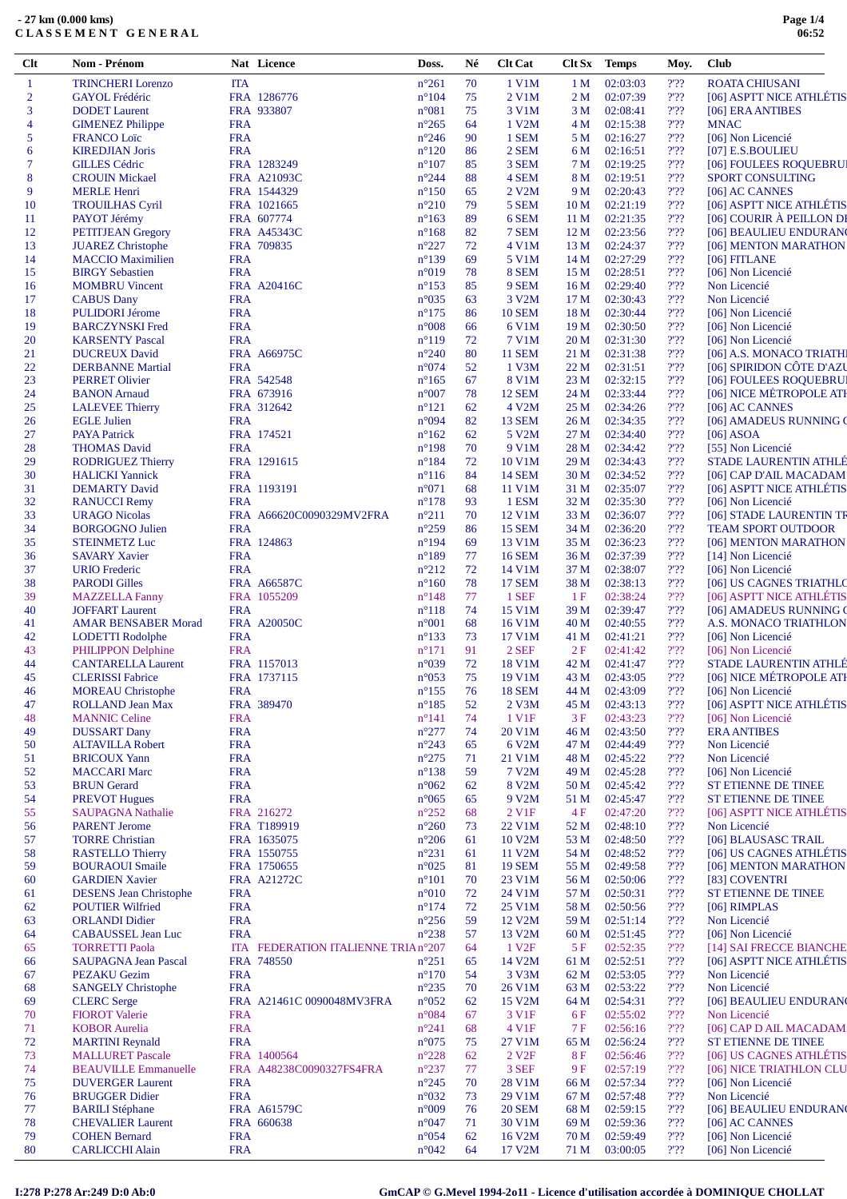| $Cl$ t         | <b>Nom - Prénom</b>           |            | Nat Licence                         | Doss.                            | Né       | <b>Clt Cat</b>     | Clt Sx          | <b>Temps</b> | Moy.                                | <b>Club</b>                            |
|----------------|-------------------------------|------------|-------------------------------------|----------------------------------|----------|--------------------|-----------------|--------------|-------------------------------------|----------------------------------------|
| $\mathbf{1}$   | <b>TRINCHERI</b> Lorenzo      | <b>ITA</b> |                                     | $n^{\circ}261$                   | 70       | 1 V1M              | 1 <sub>M</sub>  | 02:03:03     | $2'$ ?                              | <b>ROATA CHIUSANI</b>                  |
| $\overline{2}$ | <b>GAYOL Frédéric</b>         |            | FRA 1286776                         | $n^{\circ}104$                   | 75       | 2 V1M              | 2 M             | 02:07:39     | $2'$ ?                              | [06] ASPTT NICE ATHLÉTIS               |
| 3              | <b>DODET</b> Laurent          |            | FRA 933807                          | $n^{\circ}081$                   | 75       | 3 V1M              | 3 M             | 02:08:41     | $2'$ ??                             | [06] ERA ANTIBES                       |
| $\overline{4}$ | <b>GIMENEZ Philippe</b>       | <b>FRA</b> |                                     | $n^{\circ}265$                   | 64       | 1 V2M              | 4 M             | 02:15:38     | $2'$ ?                              | <b>MNAC</b>                            |
| 5              | <b>FRANCO Loïc</b>            | <b>FRA</b> |                                     | $n^{\circ}246$                   | 90       | 1 SEM              | 5 M             | 02:16:27     | $\mathcal{V}\mathcal{V}\mathcal{V}$ | [06] Non Licencié                      |
| 6              | <b>KIREDJIAN Joris</b>        | <b>FRA</b> |                                     | $n^{\circ}120$                   | 86       | 2 SEM              | 6 M             | 02:16:51     | 2.32                                | [07] E.S.BOULIEU                       |
| 7              | <b>GILLES Cédric</b>          |            | FRA 1283249                         | $n^{\circ}107$                   | 85       | 3 SEM              | 7 M             | 02:19:25     | $2'$ ?                              | [06] FOULEES ROQUEBRUI                 |
| 8              | <b>CROUIN Mickael</b>         |            | FRA A21093C                         | $n^{\circ}244$                   | 88       | 4 SEM              | 8 M             | 02:19:51     | $2'$ ??                             | <b>SPORT CONSULTING</b>                |
| 9              | <b>MERLE Henri</b>            |            | FRA 1544329                         | $n^{\circ}150$                   | 65       | 2 V2M              | 9 M             | 02:20:43     | $\mathcal{V}\mathcal{V}\mathcal{V}$ | [06] AC CANNES                         |
| 10             | <b>TROUILHAS Cyril</b>        |            | FRA 1021665                         | $n^{\circ}210$                   | 79       | 5 SEM              | 10 <sub>M</sub> | 02:21:19     | $2'$ ?                              | [06] ASPTT NICE ATHLÉTIS               |
| 11             | PAYOT Jérémy                  |            | FRA 607774                          | $n^{\circ}163$                   | 89       | 6 SEM              | 11 M            | 02:21:35     | 2.32                                | [06] COURIR À PEILLON DI               |
| 12             | <b>PETITJEAN Gregory</b>      |            | <b>FRA A45343C</b>                  | $n^{\circ}168$                   | 82       | 7 SEM              | 12 <sub>M</sub> | 02:23:56     | $2'$ ??                             | [06] BEAULIEU ENDURANO                 |
| 13             | <b>JUAREZ Christophe</b>      |            | FRA 709835                          | $n^{\circ}227$                   | 72       | 4 V1M              | 13 <sub>M</sub> | 02:24:37     | 2.32                                | [06] MENTON MARATHON                   |
|                | <b>MACCIO</b> Maximilien      | <b>FRA</b> |                                     | $n^{\circ}139$                   | 69       | 5 V1M              | 14 <sub>M</sub> | 02:27:29     | 2.32                                | $[06]$ FITLANE                         |
| 14             | <b>BIRGY Sebastien</b>        | <b>FRA</b> |                                     |                                  | 78       | 8 SEM              | 15 M            | 02:28:51     | $2'$ ??                             | [06] Non Licencié                      |
| 15             |                               |            | <b>FRA A20416C</b>                  | $n^{\circ}019$<br>$n^{\circ}153$ |          |                    |                 | 02:29:40     | 2.32                                | Non Licencié                           |
| 16             | <b>MOMBRU</b> Vincent         | <b>FRA</b> |                                     | $n^{\circ}035$                   | 85<br>63 | 9 SEM              | 16 <sub>M</sub> | 02:30:43     | $2'$ ?                              | Non Licencié                           |
| 17             | <b>CABUS Dany</b>             | <b>FRA</b> |                                     |                                  | 86       | 3 V <sub>2</sub> M | 17 <sub>M</sub> |              | 2.32                                |                                        |
| 18             | <b>PULIDORI Jérome</b>        | <b>FRA</b> |                                     | $n^{\circ}175$                   |          | <b>10 SEM</b>      | 18 <sub>M</sub> | 02:30:44     | $2'$ ?                              | [06] Non Licencié<br>[06] Non Licencié |
| 19             | <b>BARCZYNSKI</b> Fred        |            |                                     | $n^{\circ}008$                   | 66       | 6 V1M              | 19 <sub>M</sub> | 02:30:50     |                                     |                                        |
| 20             | <b>KARSENTY Pascal</b>        | <b>FRA</b> |                                     | $n^{\circ}119$                   | 72       | 7 V1M              | 20 <sub>M</sub> | 02:31:30     | $2'$ ?                              | [06] Non Licencié                      |
| 21             | <b>DUCREUX David</b>          |            | FRA A66975C                         | $n^{\circ}240$                   | 80       | <b>11 SEM</b>      | 21 M            | 02:31:38     | 2.32                                | [06] A.S. MONACO TRIATHI               |
| 22             | <b>DERBANNE Martial</b>       | <b>FRA</b> |                                     | $n^{\circ}074$                   | 52       | 1 V3M              | 22 M            | 02:31:51     | $2'$ ??                             | [06] SPIRIDON CÔTE D'AZU               |
| 23             | <b>PERRET Olivier</b>         |            | FRA 542548                          | $n^{\circ}165$                   | 67       | 8 V1M              | 23 M            | 02:32:15     | 2.32                                | [06] FOULEES ROQUEBRU                  |
| 24             | <b>BANON</b> Arnaud           |            | FRA 673916                          | $n^{\circ}007$                   | 78       | <b>12 SEM</b>      | 24 M            | 02:33:44     | $\mathcal{V}\mathcal{V}\mathcal{V}$ | [06] NICE MÉTROPOLE ATI                |
| 25             | <b>LALEVEE Thierry</b>        |            | FRA 312642                          | $n^{\circ}121$                   | 62       | 4 V <sub>2</sub> M | 25 M            | 02:34:26     | $2'$ ??                             | [06] AC CANNES                         |
| 26             | <b>EGLE Julien</b>            | <b>FRA</b> |                                     | n°094                            | 82       | <b>13 SEM</b>      | 26 M            | 02:34:35     | $2'$ ?                              | [06] AMADEUS RUNNING O                 |
| 27             | <b>PAYA Patrick</b>           |            | FRA 174521                          | $n^{\circ}162$                   | 62       | 5 V2M              | 27 M            | 02:34:40     | $\mathcal{V}\mathcal{V}\mathcal{V}$ | $[06]$ ASOA                            |
| 28             | <b>THOMAS David</b>           | <b>FRA</b> |                                     | $n^{\circ}198$                   | 70       | 9 V1M              | 28 M            | 02:34:42     | 2.32                                | [55] Non Licencié                      |
| 29             | <b>RODRIGUEZ Thierry</b>      |            | FRA 1291615                         | $n^{\circ}184$                   | 72       | 10 V1M             | 29 M            | 02:34:43     | $2'$ ?                              | <b>STADE LAURENTIN ATHLÉ</b>           |
| 30             | <b>HALICKI</b> Yannick        | <b>FRA</b> |                                     | $n^{\circ}116$                   | 84       | <b>14 SEM</b>      | 30 M            | 02:34:52     | 2.32                                | [06] CAP D'AIL MACADAM                 |
| 31             | <b>DEMARTY David</b>          |            | FRA 1193191                         | $n^{\circ}071$                   | 68       | 11 V1M             | 31 M            | 02:35:07     | $2'$ ??                             | [06] ASPTT NICE ATHLETIS               |
| 32             | <b>RANUCCI</b> Remy           | <b>FRA</b> |                                     | $n^{\circ}178$                   | 93       | 1 ESM              | 32 M            | 02:35:30     | $2'$ ?                              | [06] Non Licencié                      |
| 33             | <b>URAGO Nicolas</b>          |            | FRA A66620C0090329MV2FRA            | $n^{\circ}211$                   | 70       | 12 V1M             | 33 M            | 02:36:07     | $2'$ ?                              | [06] STADE LAURENTIN TR                |
| 34             | <b>BORGOGNO Julien</b>        | <b>FRA</b> |                                     | $n^{\circ}259$                   | 86       | <b>15 SEM</b>      | 34 M            | 02:36:20     | $2'$ ??                             | <b>TEAM SPORT OUTDOOR</b>              |
| 35             | <b>STEINMETZ Luc</b>          |            | FRA 124863                          | $n^{\circ}194$                   | 69       | 13 V1M             | 35 M            | 02:36:23     | $2'$ ?                              | [06] MENTON MARATHON                   |
| 36             | <b>SAVARY Xavier</b>          | <b>FRA</b> |                                     | $n^{\circ}189$                   | 77       | <b>16 SEM</b>      | 36 M            | 02:37:39     | $2'$ ?                              | [14] Non Licencié                      |
| 37             | <b>URIO</b> Frederic          | <b>FRA</b> |                                     | $n^{\circ}212$                   | 72       | 14 V1M             | 37 M            | 02:38:07     | 2.32                                | [06] Non Licencié                      |
| 38             | <b>PARODI Gilles</b>          |            | <b>FRA A66587C</b>                  | $n^{\circ}160$                   | 78       | <b>17 SEM</b>      | 38 M            | 02:38:13     | $2'$ ?                              | [06] US CAGNES TRIATHLO                |
| 39             | <b>MAZZELLA Fanny</b>         |            | FRA 1055209                         | $n^{\circ}148$                   | 77       | 1 SEF              | 1F              | 02:38:24     | $2'$ ??                             | [06] ASPTT NICE ATHLÉTIS               |
| 40             | <b>JOFFART Laurent</b>        | <b>FRA</b> |                                     | $n^{\circ}118$                   | 74       | 15 V1M             | 39 M            | 02:39:47     | 2.32                                | [06] AMADEUS RUNNING O                 |
| 41             | <b>AMAR BENSABER Morad</b>    |            | <b>FRA A20050C</b>                  | $n^{\circ}001$                   | 68       | 16 V1M             | 40 M            | 02:40:55     | $2'$ ??                             | <b>A.S. MONACO TRIATHLON</b>           |
| 42             | <b>LODETTI</b> Rodolphe       | <b>FRA</b> |                                     | $n^{\circ}133$                   | 73       | 17 V1M             | 41 M            | 02:41:21     | 2.32                                | [06] Non Licencié                      |
| 43             | PHILIPPON Delphine            | <b>FRA</b> |                                     | $n^{\circ}171$                   | 91       | $2$ SEF            | 2F              | 02:41:42     | $\mathcal{V}\mathcal{V}\mathcal{V}$ | [06] Non Licencié                      |
| 44             | <b>CANTARELLA Laurent</b>     |            | FRA 1157013                         | $n^{\circ}039$                   | 72       | 18 V1M             | 42 M            | 02:41:47     | $2'$ ?                              | <b>STADE LAURENTIN ATHLE</b>           |
| 45             | <b>CLERISSI Fabrice</b>       |            | FRA 1737115                         | $n^{\circ}053$                   | 75       | 19 V1M             | 43 M            | 02:43:05     | 2.32                                | [06] NICE MÉTROPOLE ATI                |
| 46             | <b>MOREAU</b> Christophe      | <b>FRA</b> |                                     | $n^{\circ}155$                   | 76       | <b>18 SEM</b>      | 44 M            | 02:43:09     | 2.32                                | [06] Non Licencié                      |
| 47             | <b>ROLLAND Jean Max</b>       |            | FRA 389470                          | $n^{\circ}185$                   | 52       | 2 V3M              | 45 M            | 02:43:13     | 2'                                  | [06] ASPTT NICE ATHLÉTIS               |
| 48             | <b>MANNIC Celine</b>          | <b>FRA</b> |                                     | $n^{\circ}141$                   | 74       | 1 V1F              | 3F              | 02:43:23     | 2'22                                | [06] Non Licencié                      |
| 49             | <b>DUSSART Dany</b>           | <b>FRA</b> |                                     | $n^{\circ}277$                   | 74       | 20 V1M             | 46 M            | 02:43:50     | 2.32                                | <b>ERA ANTIBES</b>                     |
| 50             | <b>ALTAVILLA Robert</b>       | <b>FRA</b> |                                     | $n^{\circ}243$                   | 65       | 6 V2M              | 47 M            | 02:44:49     | $2'$ ?                              | Non Licencié                           |
|                | <b>BRICOUX Yann</b>           | <b>FRA</b> |                                     | $n^{\circ}275$                   | 71       | 21 V1M             | 48 M            | 02:45:22     | $2'$ ?                              | Non Licencié                           |
| 51             | <b>MACCARI Marc</b>           | <b>FRA</b> |                                     | $n^{\circ}138$                   |          |                    |                 |              | 2.32                                | [06] Non Licencié                      |
| 52             |                               |            |                                     |                                  | 59       | 7 V <sub>2</sub> M | 49 M            | 02:45:28     |                                     |                                        |
| 53             | <b>BRUN</b> Gerard            | <b>FRA</b> |                                     | $n^{\circ}062$                   | 62       | 8 V <sub>2</sub> M | 50 M            | 02:45:42     | $2'$ ?                              | ST ETIENNE DE TINEE                    |
| 54             | <b>PREVOT Hugues</b>          | <b>FRA</b> |                                     | $n^{\circ}065$                   | 65       | 9 V2M              | 51 M            | 02:45:47     | 2.32                                | <b>ST ETIENNE DE TINEE</b>             |
| 55             | <b>SAUPAGNA Nathalie</b>      |            | FRA 216272                          | $n^{\circ}252$                   | 68       | 2 V1F              | 4 F             | 02:47:20     | 2'22                                | [06] ASPTT NICE ATHLÉTIS               |
| -56            | <b>PARENT Jerome</b>          |            | FRA T189919                         | $n^{\circ}260$                   | 73       | 22 V1M             | 52 M            | 02:48:10     | $2'$ ?                              | Non Licencié                           |
| 57             | <b>TORRE Christian</b>        |            | FRA 1635075                         | $n^{\circ}206$                   | 61       | 10 V2M             | 53 M            | 02:48:50     | $2'$ ?                              | [06] BLAUSASC TRAIL                    |
| 58             | <b>RASTELLO Thierry</b>       |            | FRA 1550755                         | $n^{\circ}231$                   | 61       | 11 V2M             | 54 M            | 02:48:52     | $2'$ ?                              | [06] US CAGNES ATHLÉTIS                |
| 59             | <b>BOURAOUI</b> Smaile        |            | FRA 1750655                         | $n^{\circ}025$                   | 81       | <b>19 SEM</b>      | 55 M            | 02:49:58     | 2.32                                | [06] MENTON MARATHON                   |
| 60             | <b>GARDIEN Xavier</b>         |            | FRA A21272C                         | $n^{\circ}101$                   | 70       | 23 V1M             | 56 M            | 02:50:06     | $2'$ ?                              | [83] COVENTRI                          |
| 61             | <b>DESENS</b> Jean Christophe | <b>FRA</b> |                                     | $n^{\circ}010$                   | 72       | 24 V1M             | 57 M            | 02:50:31     | 2.32                                | ST ETIENNE DE TINEE                    |
| 62             | <b>POUTIER Wilfried</b>       | <b>FRA</b> |                                     | $n^{\circ}174$                   | 72       | 25 V1M             | 58 M            | 02:50:56     | $\gamma\gamma\gamma$                | $[06]$ RIMPLAS                         |
| 63             | <b>ORLANDI Didier</b>         | <b>FRA</b> |                                     | $n^{\circ}256$                   | 59       | 12 V2M             | 59 M            | 02:51:14     | $2'$ ?                              | Non Licencié                           |
| 64             | <b>CABAUSSEL Jean Luc</b>     | <b>FRA</b> |                                     | $n^{\circ}238$                   | 57       | 13 V2M             | 60 <sub>M</sub> | 02:51:45     | $2'$ ?                              | [06] Non Licencié                      |
| 65             | <b>TORRETTI Paola</b>         |            | ITA FEDERATION ITALIENNE TRIA n°207 |                                  | 64       | 1 V <sub>2F</sub>  | 5 F             | 02:52:35     | $2'$ ??                             | [14] SAI FRECCE BIANCHE                |
| 66             | <b>SAUPAGNA Jean Pascal</b>   |            | FRA 748550                          | $n^{\circ}251$                   | 65       | 14 V2M             | 61 M            | 02:52:51     | $2'$ ?                              | [06] ASPTT NICE ATHLÉTIS               |
| 67             | <b>PEZAKU Gezim</b>           | <b>FRA</b> |                                     | $n^{\circ}170$                   | 54       | 3 V3M              | 62 M            | 02:53:05     | $2'$ ?                              | Non Licencié                           |
| 68             | <b>SANGELY Christophe</b>     | <b>FRA</b> |                                     | $n^{\circ}235$                   | 70       | 26 V1M             | 63 M            | 02:53:22     | $\mathcal{V}\mathcal{V}\mathcal{V}$ | Non Licencié                           |
| -69            | <b>CLERC</b> Serge            |            | FRA A21461C 0090048MV3FRA           | $n^{\circ}052$                   | 62       | 15 V2M             | 64 M            | 02:54:31     | $2'$ ?                              | [06] BEAULIEU ENDURAN                  |
| 70             | <b>FIOROT Valerie</b>         | <b>FRA</b> |                                     | $n^{\circ}084$                   | 67       | 3 V1F              | 6F              | 02:55:02     | $\mathcal{V}\mathcal{V}\mathcal{V}$ | Non Licencié                           |
| 71             | <b>KOBOR</b> Aurelia          | <b>FRA</b> |                                     | $n^{\circ}241$                   | 68       | 4 V <sub>1F</sub>  | 7 F             | 02:56:16     | 2'22                                | [06] CAP D AIL MACADAM                 |
| 72             | <b>MARTINI Reynald</b>        | <b>FRA</b> |                                     | $n^{\circ}075$                   | 75       | 27 V1M             | 65 M            | 02:56:24     | $2'$ ?                              | ST ETIENNE DE TINEE                    |
| 73             | <b>MALLURET Pascale</b>       |            | FRA 1400564                         | $n^{\circ}228$                   | 62       | 2 V <sub>2F</sub>  | 8F              | 02:56:46     | 2.32                                | [06] US CAGNES ATHLÉTIS                |
| 74             | <b>BEAUVILLE Emmanuelle</b>   |            | FRA A48238C0090327FS4FRA            | $n^{\circ}237$                   | 77       | 3 SEF              | 9F              | 02:57:19     | 2'22                                | [06] NICE TRIATHLON CLU                |
| 75             | <b>DUVERGER Laurent</b>       | <b>FRA</b> |                                     | $n^{\circ}245$                   | 70       | 28 V1M             | 66 M            | 02:57:34     | $2'$ ?                              | [06] Non Licencié                      |
| 76             | <b>BRUGGER Didier</b>         | <b>FRA</b> |                                     | $n^{\circ}032$                   | 73       | 29 V1M             | 67 M            | 02:57:48     | $2'$ ?                              | Non Licencié                           |
|                |                               |            | <b>FRA A61579C</b>                  | $n^{\circ}009$                   | 76       | <b>20 SEM</b>      | 68 M            | 02:59:15     | $2'$ ??                             | [06] BEAULIEU ENDURAN                  |
| 77             | <b>BARILI</b> Stéphane        |            |                                     |                                  |          |                    |                 |              |                                     |                                        |
| 78             | <b>CHEVALIER Laurent</b>      |            | FRA 660638                          | $n^{\circ}047$                   | 71       | 30 V1M             | 69 M            | 02:59:36     | 2.32                                | [06] AC CANNES                         |
| 79             | <b>COHEN Bernard</b>          | <b>FRA</b> |                                     | $n^{\circ}054$                   | 62       | 16 V2M             | 70 M            | 02:59:49     | $2'$ ?                              | [06] Non Licencié                      |
| 80             | <b>CARLICCHI Alain</b>        | <b>FRA</b> |                                     | $n^{\circ}042$                   | 64       | 17 V2M             | 71 M            | 03:00:05     | 2.32                                | [06] Non Licencié                      |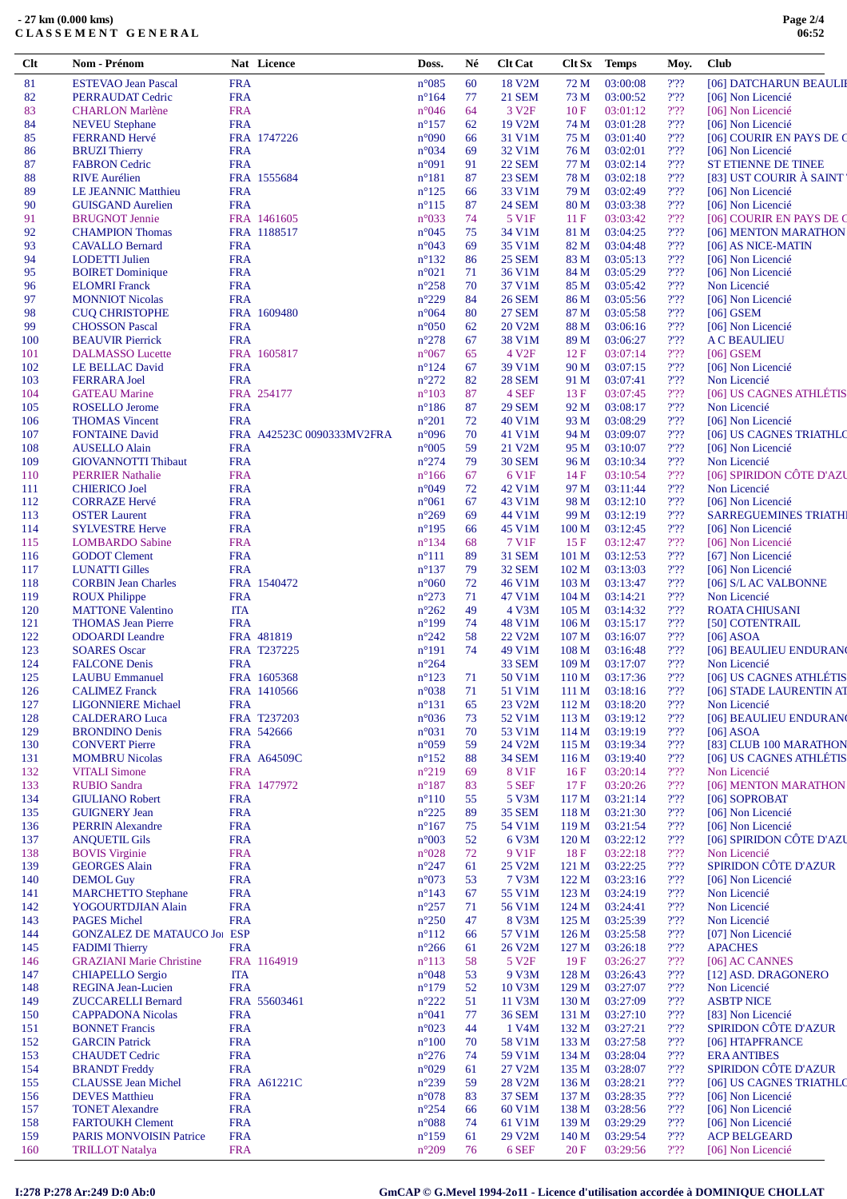| $Cl$ t     | Nom - Prénom                                             |                          | Nat Licence               | Doss.                            | Né       | <b>Clt Cat</b>         |                                      | Clt Sx Temps         | Moy.                                | <b>Club</b>                                       |
|------------|----------------------------------------------------------|--------------------------|---------------------------|----------------------------------|----------|------------------------|--------------------------------------|----------------------|-------------------------------------|---------------------------------------------------|
| 81         | <b>ESTEVAO Jean Pascal</b>                               | <b>FRA</b>               |                           | $n^{\circ}085$                   | 60       | 18 V2M                 | 72 M                                 | 03:00:08             | 2'22                                | [06] DATCHARUN BEAULII                            |
| 82         | PERRAUDAT Cedric                                         | <b>FRA</b>               |                           | $n^{\circ}164$                   | 77       | 21 SEM                 | 73 M                                 | 03:00:52             | 2.32                                | [06] Non Licencié                                 |
| 83         | <b>CHARLON Marlène</b>                                   | <b>FRA</b>               |                           | $n^{\circ}046$                   | 64       | 3 V <sub>2F</sub>      | 10F                                  | 03:01:12             | $2'$ ?                              | [06] Non Licencié                                 |
| 84         | <b>NEVEU</b> Stephane                                    | <b>FRA</b>               |                           | $n^{\circ}157$                   | 62       | 19 V2M                 | 74 M                                 | 03:01:28             | $2'$ ?                              | [06] Non Licencié                                 |
| 85         | <b>FERRAND Hervé</b>                                     |                          | FRA 1747226               | $n^{\circ}090$                   | 66       | 31 V1M                 | 75 M                                 | 03:01:40             | $2'$ ?                              | [06] COURIR EN PAYS DE C                          |
| 86         | <b>BRUZI Thierry</b>                                     | <b>FRA</b>               |                           | $n^{\circ}034$                   | 69       | 32 V1M                 | 76 M                                 | 03:02:01             | $2'$ ?                              | [06] Non Licencié                                 |
| 87         | <b>FABRON</b> Cedric                                     | <b>FRA</b>               |                           | n°091                            | 91       | <b>22 SEM</b>          | 77 M                                 | 03:02:14             | 2.32                                | <b>ST ETIENNE DE TINEE</b>                        |
| 88         | <b>RIVE</b> Aurélien                                     |                          | FRA 1555684               | $n^{\circ}181$                   | 87       | 23 SEM                 | 78 M                                 | 03:02:18             | $2'$ ?                              | [83] UST COURIR À SAINT'                          |
| 89         | LE JEANNIC Matthieu                                      | <b>FRA</b>               |                           | $n^{\circ}125$                   | 66       | 33 V1M                 | 79 M                                 | 03:02:49             | 2.32                                | [06] Non Licencié                                 |
| 90         | <b>GUISGAND Aurelien</b><br><b>BRUGNOT Jennie</b>        | <b>FRA</b>               | FRA 1461605               | $n^{\circ}115$<br>$n^{\circ}033$ | 87<br>74 | <b>24 SEM</b><br>5 V1F | 80 M<br>11F                          | 03:03:38<br>03:03:42 | $2'$ ?<br>2'22                      | [06] Non Licencié<br>[06] COURIR EN PAYS DE C     |
| 91<br>92   | <b>CHAMPION Thomas</b>                                   |                          | FRA 1188517               | $n^{\circ}045$                   | 75       | 34 V1M                 | 81 M                                 | 03:04:25             | 2.32                                | [06] MENTON MARATHON                              |
| 93         | <b>CAVALLO Bernard</b>                                   | <b>FRA</b>               |                           | n°043                            | 69       | 35 V1M                 | 82 M                                 | 03:04:48             | $2'$ ?                              | [06] AS NICE-MATIN                                |
| 94         | <b>LODETTI</b> Julien                                    | <b>FRA</b>               |                           | $n^{\circ}132$                   | 86       | 25 SEM                 | 83 M                                 | 03:05:13             | 2.32                                | [06] Non Licencié                                 |
| 95         | <b>BOIRET</b> Dominique                                  | <b>FRA</b>               |                           | $n^{\circ}021$                   | 71       | 36 V1M                 | 84 M                                 | 03:05:29             | $2'$ ?                              | [06] Non Licencié                                 |
| 96         | <b>ELOMRI</b> Franck                                     | <b>FRA</b>               |                           | $n^{\circ}258$                   | 70       | 37 V1M                 | 85 M                                 | 03:05:42             | $2'$ ?                              | Non Licencié                                      |
| 97         | <b>MONNIOT Nicolas</b>                                   | <b>FRA</b>               |                           | $n^{\circ}229$                   | 84       | <b>26 SEM</b>          | 86 M                                 | 03:05:56             | $2'$ ?                              | [06] Non Licencié                                 |
| 98         | <b>CUQ CHRISTOPHE</b>                                    |                          | FRA 1609480               | $n^{\circ}064$                   | 80       | <b>27 SEM</b>          | 87 M                                 | 03:05:58             | $2'$ ?                              | $[06]$ GSEM                                       |
| 99         | <b>CHOSSON Pascal</b>                                    | <b>FRA</b>               |                           | $n^{\circ}050$                   | 62       | 20 V2M                 | 88 M                                 | 03:06:16             | 2.32                                | [06] Non Licencié                                 |
| 100        | <b>BEAUVIR Pierrick</b>                                  | <b>FRA</b>               |                           | $n^{\circ}278$                   | 67       | 38 V1M                 | 89 M                                 | 03:06:27             | 2'22                                | <b>AC BEAULIEU</b>                                |
| 101        | <b>DALMASSO</b> Lucette                                  |                          | FRA 1605817               | $n^{\circ}067$                   | 65       | 4 V <sub>2F</sub>      | 12F                                  | 03:07:14             | 2.32                                | $[06]$ GSEM                                       |
| 102        | LE BELLAC David                                          | <b>FRA</b>               |                           | $n^{\circ}124$                   | 67       | 39 V1M                 | 90 M                                 | 03:07:15             | $2'$ ?                              | [06] Non Licencié                                 |
| 103        | <b>FERRARA Joel</b>                                      | <b>FRA</b>               |                           | $n^{\circ}272$                   | 82       | <b>28 SEM</b>          | 91 M                                 | 03:07:41             | 2'22                                | Non Licencié                                      |
| 104        | <b>GATEAU Marine</b>                                     |                          | FRA 254177                | $n^{\circ}103$                   | 87       | 4 SEF                  | 13F                                  | 03:07:45             | 2.32                                | [06] US CAGNES ATHLÉTIS                           |
| 105        | ROSELLO Jerome                                           | <b>FRA</b>               |                           | $n^{\circ}186$                   | 87       | <b>29 SEM</b>          | 92 M                                 | 03:08:17             | $2'$ ?                              | Non Licencié                                      |
| 106        | <b>THOMAS Vincent</b>                                    | <b>FRA</b>               |                           | $n^{\circ}201$                   | 72       | 40 V1M                 | 93 M                                 | 03:08:29             | 2.32                                | [06] Non Licencié                                 |
| 107        | <b>FONTAINE David</b>                                    |                          | FRA A42523C 0090333MV2FRA | n°096                            | 70       | 41 V1M                 | 94 M                                 | 03:09:07             | 2'22                                | [06] US CAGNES TRIATHLO                           |
| 108        | <b>AUSELLO Alain</b>                                     | <b>FRA</b>               |                           | $n^{\circ}005$                   | 59       | 21 V2M                 | 95 M                                 | 03:10:07             | $2'$ ?                              | [06] Non Licencié                                 |
| 109        | <b>GIOVANNOTTI Thibaut</b>                               | <b>FRA</b>               |                           | $n^{\circ}274$                   | 79       | <b>30 SEM</b>          | 96 M                                 | 03:10:34             | 2'22                                | Non Licencié                                      |
| 110        | <b>PERRIER Nathalie</b>                                  | <b>FRA</b>               |                           | $n^{\circ}166$                   | 67       | 6 V1F                  | 14F                                  | 03:10:54             | 2'22                                | [06] SPIRIDON CÔTE D'AZU                          |
| 111        | <b>CHIERICO Joel</b>                                     | <b>FRA</b>               |                           | $n^{\circ}049$                   | 72       | 42 V1M                 | 97 M                                 | 03:11:44             | $2'$ ?                              | Non Licencié                                      |
| 112        | <b>CORRAZE Hervé</b>                                     | <b>FRA</b><br><b>FRA</b> |                           | $n^{\circ}061$<br>$n^{\circ}269$ | 67<br>69 | 43 V1M<br>44 V1M       | 98 M                                 | 03:12:10<br>03:12:19 | 2'22<br>2.32                        | [06] Non Licencié<br><b>SARREGUEMINES TRIATHI</b> |
| 113<br>114 | <b>OSTER Laurent</b><br><b>SYLVESTRE Herve</b>           | <b>FRA</b>               |                           | $n^{\circ}195$                   | 66       | 45 V1M                 | 99 M<br>100 M                        | 03:12:45             | $2'$ ?                              | [06] Non Licencié                                 |
| 115        | <b>LOMBARDO</b> Sabine                                   | <b>FRA</b>               |                           | $n^{\circ}134$                   | 68       | 7 V1F                  | 15 F                                 | 03:12:47             | $2'$ ?                              | [06] Non Licencié                                 |
| 116        | <b>GODOT</b> Clement                                     | <b>FRA</b>               |                           | $n^{\circ}111$                   | 89       | <b>31 SEM</b>          | 101 <sub>M</sub>                     | 03:12:53             | 2.32                                | [67] Non Licencié                                 |
| 117        | <b>LUNATTI Gilles</b>                                    | <b>FRA</b>               |                           | $n^{\circ}137$                   | 79       | 32 SEM                 | 102 M                                | 03:13:03             | 2'22                                | [06] Non Licencié                                 |
| 118        | <b>CORBIN Jean Charles</b>                               |                          | FRA 1540472               | $n^{\circ}060$                   | 72       | 46 V1M                 | 103 M                                | 03:13:47             | 2.32                                | [06] S/L AC VALBONNE                              |
| 119        | <b>ROUX Philippe</b>                                     | <b>FRA</b>               |                           | $n^{\circ}273$                   | 71       | 47 V1M                 | 104 M                                | 03:14:21             | $2'$ ?                              | Non Licencié                                      |
| 120        | <b>MATTONE Valentino</b>                                 | ITA                      |                           | $n^{\circ}262$                   | 49       | 4 V3M                  | 105 <sub>M</sub>                     | 03:14:32             | 2.32                                | <b>ROATA CHIUSANI</b>                             |
| 121        | <b>THOMAS</b> Jean Pierre                                | <b>FRA</b>               |                           | $n^{\circ}199$                   | 74       | 48 V1M                 | $106\,\mathrm{M}$                    | 03:15:17             | $2'$ ?                              | [50] COTENTRAIL                                   |
| 122        | <b>ODOARDI</b> Leandre                                   |                          | FRA 481819                | $n^{\circ}242$                   | 58       | 22 V2M                 | 107 <sub>M</sub>                     | 03:16:07             | $2'$ ?                              | $[06]$ ASOA                                       |
| 123        | <b>SOARES</b> Oscar                                      |                          | FRA T237225               | $n^{\circ}191$                   | 74       | 49 V1M                 | 108 <sub>M</sub>                     | 03:16:48             | $2'$ ?                              | [06] BEAULIEU ENDURAN                             |
| 124        | <b>FALCONE Denis</b>                                     | <b>FRA</b>               |                           | $n^{\circ}264$                   |          | <b>33 SEM</b>          | 109 <sub>M</sub>                     | 03:17:07             | $2'$ ?                              | Non Licencié                                      |
| 125        | <b>LAUBU Emmanuel</b>                                    |                          | FRA 1605368               | $n^{\circ}123$                   | 71       | 50 V1M                 | 110 M                                | 03:17:36             | 2.32                                | [06] US CAGNES ATHLÉTIS                           |
| 126        | <b>CALIMEZ Franck</b>                                    |                          | FRA 1410566               | $n^{\circ}038$                   | 71       | 51 V1M                 | 111 M                                | 03:18:16             | 2.32                                | [06] STADE LAURENTIN AT                           |
| 127        | <b>LIGONNIERE Michael</b>                                | <b>FRA</b>               |                           | $n^{\circ}131$                   | 65       | 23 V2M                 | 112M                                 | 03:18:20             | $2'$ ?                              | Non Licencié                                      |
| 128        | <b>CALDERARO Luca</b>                                    |                          | FRA T237203               | $n^{\circ}036$                   | 73       | 52 V1M                 | 113 M                                | 03:19:12             | 2'22                                | [06] BEAULIEU ENDURAN                             |
| 129        | <b>BRONDINO Denis</b>                                    |                          | FRA 542666                | $n^{\circ}031$                   | 70       | 53 V1M                 | 114 M                                | 03:19:19             | 2'22                                | $[06]$ ASOA                                       |
| 130        | <b>CONVERT Pierre</b>                                    | <b>FRA</b>               |                           | $n^{\circ}059$                   | 59       | 24 V2M                 | 115 M                                | 03:19:34             | 2.32                                | [83] CLUB 100 MARATHON                            |
| 131        | <b>MOMBRU Nicolas</b>                                    |                          | <b>FRA A64509C</b>        | $n^{\circ}152$                   | 88       | <b>34 SEM</b>          | 116 M                                | 03:19:40             | $2'$ ?                              | [06] US CAGNES ATHLÉTIS                           |
| 132        | <b>VITALI Simone</b>                                     | <b>FRA</b>               |                           | $n^{\circ}219$                   | 69       | 8 V1F                  | 16F                                  | 03:20:14             | 2.32                                | Non Licencié                                      |
| 133        | <b>RUBIO Sandra</b>                                      |                          | FRA 1477972               | $n^{\circ}187$                   | 83       | 5 SEF                  | 17F                                  | 03:20:26             | 2'22                                | [06] MENTON MARATHON                              |
| 134        | <b>GIULIANO Robert</b><br><b>GUIGNERY Jean</b>           | <b>FRA</b>               |                           | $n^{\circ}110$                   | 55       | 5 V3M                  | 117 <sub>M</sub>                     | 03:21:14             | $2'$ ?                              | [06] SOPROBAT                                     |
| 135        | <b>PERRIN Alexandre</b>                                  | <b>FRA</b><br><b>FRA</b> |                           | $n^{\circ}225$                   | 89<br>75 | <b>35 SEM</b>          | 118 M                                | 03:21:30<br>03:21:54 | 2.32<br>$2'$ ?                      | [06] Non Licencié<br>[06] Non Licencié            |
| 136<br>137 | <b>ANQUETIL Gils</b>                                     | <b>FRA</b>               |                           | $n^{\circ}167$<br>$n^{\circ}003$ | 52       | 54 V1M<br>6 V3M        | 119 <sub>M</sub><br>120 <sub>M</sub> | 03:22:12             | 2.32                                | [06] SPIRIDON CÔTE D'AZU                          |
| 138        | <b>BOVIS Virginie</b>                                    | <b>FRA</b>               |                           | $n^{\circ}028$                   | 72       | 9 V1F                  | 18F                                  | 03:22:18             | 2'22                                | Non Licencié                                      |
| 139        | <b>GEORGES Alain</b>                                     | <b>FRA</b>               |                           | $n^{\circ}247$                   | 61       | 25 V2M                 | 121 M                                | 03:22:25             | 2.32                                | SPIRIDON CÔTE D'AZUR                              |
| 140        | <b>DEMOL Guy</b>                                         | <b>FRA</b>               |                           | $n^{\circ}073$                   | 53       | 7 V3M                  | 122 <sub>M</sub>                     | 03:23:16             | 2.32                                | [06] Non Licencié                                 |
| 141        | <b>MARCHETTO Stephane</b>                                | <b>FRA</b>               |                           | $n^{\circ}143$                   | 67       | 55 V1M                 | 123 M                                | 03:24:19             | $2'$ ?                              | Non Licencié                                      |
| 142        | YOGOURTDJIAN Alain                                       | <b>FRA</b>               |                           | $n^{\circ}257$                   | 71       | 56 V1M                 | 124M                                 | 03:24:41             | 2.32                                | Non Licencié                                      |
| 143        | <b>PAGES Michel</b>                                      | <b>FRA</b>               |                           | $n^{\circ}250$                   | 47       | 8 V3M                  | 125 <sub>M</sub>                     | 03:25:39             | $2'$ ?                              | Non Licencié                                      |
| 144        | <b>GONZALEZ DE MATAUCO JOI ESP</b>                       |                          |                           | $n^{\circ}112$                   | 66       | 57 V1M                 | 126 <sub>M</sub>                     | 03:25:58             | 2.32                                | [07] Non Licencié                                 |
| 145        | <b>FADIMI</b> Thierry                                    | <b>FRA</b>               |                           | $n^{\circ}266$                   | 61       | 26 V2M                 | 127 <sub>M</sub>                     | 03:26:18             | $2'$ ?                              | <b>APACHES</b>                                    |
| 146        | <b>GRAZIANI Marie Christine</b>                          |                          | FRA 1164919               | $n^{\circ}113$                   | 58       | 5 V <sub>2F</sub>      | 19F                                  | 03:26:27             | 2'22                                | [06] AC CANNES                                    |
| 147        | <b>CHIAPELLO Sergio</b>                                  | <b>ITA</b>               |                           | $n^{\circ}048$                   | 53       | 9 V3M                  | 128 M                                | 03:26:43             | 2.32                                | [12] ASD. DRAGONERO                               |
| 148        | REGINA Jean-Lucien                                       | <b>FRA</b>               |                           | $n^{\circ}179$                   | 52       | 10 V3M                 | 129 <sub>M</sub>                     | 03:27:07             | $2'$ ?                              | Non Licencié                                      |
| 149        | <b>ZUCCARELLI Bernard</b>                                |                          | FRA 55603461              | $n^{\circ}222$                   | 51       | 11 V3M                 | 130 M                                | 03:27:09             | 2.32                                | <b>ASBTP NICE</b>                                 |
| 150        | <b>CAPPADONA Nicolas</b>                                 | <b>FRA</b>               |                           | $n^{\circ}041$                   | 77       | <b>36 SEM</b>          | 131 M                                | 03:27:10             | $2'$ ?                              | [83] Non Licencié                                 |
| 151        | <b>BONNET</b> Francis                                    | <b>FRA</b>               |                           | $n^{\circ}023$                   | 44       | 1 V <sub>4</sub> M     | 132 M                                | 03:27:21             | 2.32                                | SPIRIDON CÔTE D'AZUR                              |
| 152        | <b>GARCIN Patrick</b>                                    | <b>FRA</b>               |                           | $n^{\circ}100$                   | 70       | 58 V1M                 | 133 M                                | 03:27:58             | 2'22                                | [06] HTAPFRANCE                                   |
| 153        | <b>CHAUDET Cedric</b>                                    | <b>FRA</b>               |                           | $n^{\circ}276$                   | 74       | 59 V1M                 | 134M                                 | 03:28:04             | $2'$ ?                              | <b>ERA ANTIBES</b>                                |
| 154        | <b>BRANDT</b> Freddy                                     | <b>FRA</b>               |                           | $n^{\circ}029$                   | 61       | 27 V2M                 | 135 M                                | 03:28:07             | 2.32                                | SPIRIDON CÔTE D'AZUR                              |
| 155        | <b>CLAUSSE Jean Michel</b>                               |                          | <b>FRA A61221C</b>        | $n^{\circ}239$                   | 59       | 28 V2M                 | 136M                                 | 03:28:21             | 2'22                                | [06] US CAGNES TRIATHLO                           |
| 156        | <b>DEVES</b> Matthieu                                    | <b>FRA</b>               |                           | $n^{\circ}078$                   | 83       | <b>37 SEM</b>          | 137 <sub>M</sub>                     | 03:28:35             | 2.32                                | [06] Non Licencié                                 |
| 157        | <b>TONET Alexandre</b>                                   | <b>FRA</b>               |                           | $n^{\circ}254$                   | 66       | 60 V1M                 | 138 M                                | 03:28:56             | $2'$ ?                              | [06] Non Licencié                                 |
| 158        | <b>FARTOUKH Clement</b>                                  | <b>FRA</b><br><b>FRA</b> |                           | $n^{\circ}088$                   | 74       | 61 V1M                 | 139M                                 | 03:29:29<br>03:29:54 | 2.32<br>$2'$ ?                      | [06] Non Licencié<br><b>ACP BELGEARD</b>          |
| 159<br>160 | <b>PARIS MONVOISIN Patrice</b><br><b>TRILLOT Natalya</b> | <b>FRA</b>               |                           | $n^{\circ}159$<br>$n^{\circ}209$ | 61<br>76 | 29 V2M<br>6 SEF        | 140 M<br>20F                         | 03:29:56             | $\mathcal{V}\mathcal{V}\mathcal{V}$ | [06] Non Licencié                                 |
|            |                                                          |                          |                           |                                  |          |                        |                                      |                      |                                     |                                                   |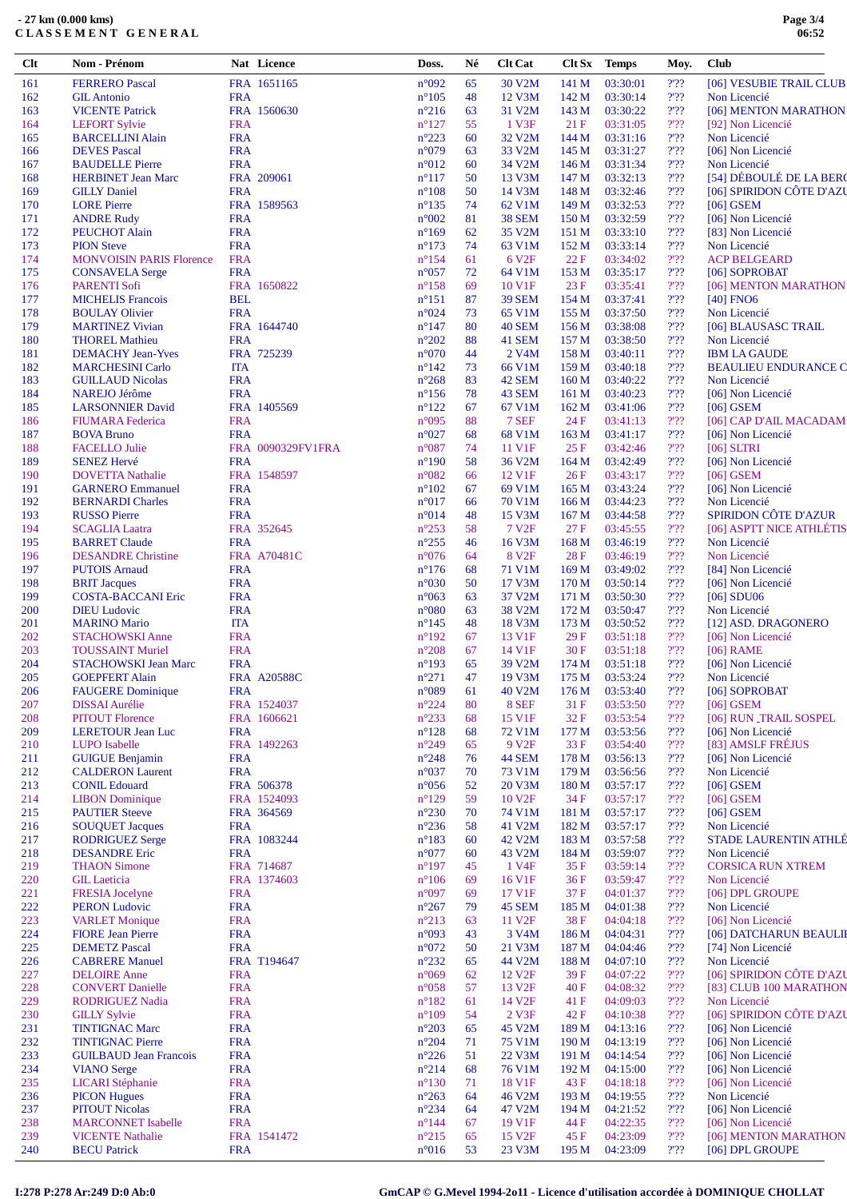| $Cl$       | Nom - Prénom                                      |                          | Nat Licence        | Doss.                            | Né       | <b>Clt Cat</b>              | Clt Sx                   | <b>Temps</b>         | Moy.                                 | <b>Club</b>                                 |
|------------|---------------------------------------------------|--------------------------|--------------------|----------------------------------|----------|-----------------------------|--------------------------|----------------------|--------------------------------------|---------------------------------------------|
| 161        | <b>FERRERO</b> Pascal                             |                          | FRA 1651165        | n°092                            | 65       | 30 V2M                      | 141 M                    | 03:30:01             | 2.32                                 | [06] VESUBIE TRAIL CLUB                     |
| 162        | <b>GIL Antonio</b>                                | <b>FRA</b>               |                    | $n^{\circ}105$                   | 48       | 12 V3M                      | 142 M                    | 03:30:14             | 2.32                                 | Non Licencié                                |
| 163        | <b>VICENTE Patrick</b>                            |                          | FRA 1560630        | $n^{\circ}216$                   | 63       | 31 V2M                      | 143 M                    | 03:30:22             | $2'$ ??                              | [06] MENTON MARATHON                        |
| 164        | <b>LEFORT Sylvie</b>                              | <b>FRA</b>               |                    | $n^{\circ}127$                   | 55       | 1 V3F                       | 21F                      | 03:31:05             | $2'$ ?                               | [92] Non Licencié                           |
| 165        | <b>BARCELLINI Alain</b><br><b>DEVES</b> Pascal    | <b>FRA</b><br><b>FRA</b> |                    | $n^{\circ}223$<br>n°079          | 60<br>63 | 32 V2M<br>33 V2M            | 144 M<br>145 M           | 03:31:16<br>03:31:27 | $2'$ ?<br>2.32                       | Non Licencié<br>[06] Non Licencié           |
| 166<br>167 | <b>BAUDELLE Pierre</b>                            | <b>FRA</b>               |                    | n°012                            | 60       | 34 V2M                      | 146 M                    | 03:31:34             | 2.32                                 | Non Licencié                                |
| 168        | <b>HERBINET Jean Marc</b>                         |                          | FRA 209061         | $n^{\circ}117$                   | 50       | 13 V3M                      | 147 M                    | 03:32:13             | 2.32                                 | [54] DÉBOULÉ DE LA BERO                     |
| 169        | <b>GILLY Daniel</b>                               | <b>FRA</b>               |                    | $n^{\circ}108$                   | 50       | 14 V3M                      | 148 M                    | 03:32:46             | 2.32                                 | [06] SPIRIDON CÔTE D'AZU                    |
| 170        | <b>LORE</b> Pierre                                |                          | FRA 1589563        | $n^{\circ}$ 135                  | 74       | 62 V1M                      | 149 M                    | 03:32:53             | $2'$ ?                               | $[06]$ GSEM                                 |
| 171        | <b>ANDRE Rudy</b>                                 | <b>FRA</b>               |                    | n°002                            | 81       | <b>38 SEM</b>               | 150 M                    | 03:32:59             | 2.32                                 | [06] Non Licencié                           |
| 172        | PEUCHOT Alain                                     | <b>FRA</b>               |                    | $n^{\circ}169$                   | 62       | 35 V <sub>2</sub> M         | 151 M                    | 03:33:10             | $2'$ ??                              | [83] Non Licencié                           |
| 173        | <b>PION Steve</b>                                 | <b>FRA</b>               |                    | $n^{\circ}173$                   | 74       | 63 V1M                      | 152 M                    | 03:33:14             | 2.32                                 | Non Licencié                                |
| 174        | <b>MONVOISIN PARIS Florence</b>                   | <b>FRA</b>               |                    | $n^{\circ}154$                   | 61       | 6 V <sub>2F</sub>           | 22F                      | 03:34:02             | $\mathcal{V}\mathcal{V}$             | <b>ACP BELGEARD</b>                         |
| 175        | <b>CONSAVELA Serge</b>                            | <b>FRA</b>               |                    | $n^{\circ}057$                   | 72       | 64 V1M                      | 153 M                    | 03:35:17             | $2'$ ??                              | [06] SOPROBAT                               |
| 176<br>177 | <b>PARENTI Sofi</b><br><b>MICHELIS</b> Francois   | <b>BEL</b>               | FRA 1650822        | $n^{\circ}158$<br>$n^{\circ}151$ | 69<br>87 | 10 V1F<br><b>39 SEM</b>     | 23F<br>154 M             | 03:35:41<br>03:37:41 | $2'$ ?<br>$2'$ ?                     | [06] MENTON MARATHON<br>$[40]$ FNO6         |
| 178        | <b>BOULAY Olivier</b>                             | <b>FRA</b>               |                    | n°024                            | 73       | 65 V1M                      | 155 M                    | 03:37:50             | 2.32                                 | Non Licencié                                |
| 179        | <b>MARTINEZ Vivian</b>                            |                          | FRA 1644740        | $n^{\circ}$ 147                  | 80       | <b>40 SEM</b>               | 156 M                    | 03:38:08             | 2.32                                 | [06] BLAUSASC TRAIL                         |
| 180        | <b>THOREL Mathieu</b>                             | <b>FRA</b>               |                    | $n^{\circ}202$                   | 88       | 41 SEM                      | 157 M                    | 03:38:50             | 2.32                                 | Non Licencié                                |
| 181        | <b>DEMACHY Jean-Yves</b>                          |                          | FRA 725239         | $n^{\circ}070$                   | 44       | 2 V <sub>4</sub> M          | 158 M                    | 03:40:11             | 2.32                                 | <b>IBM LA GAUDE</b>                         |
| 182        | <b>MARCHESINI Carlo</b>                           | <b>ITA</b>               |                    | $n^{\circ}142$                   | 73       | 66 V1M                      | 159 M                    | 03:40:18             | $2'$ ?                               | <b>BEAULIEU ENDURANCE C</b>                 |
| 183        | <b>GUILLAUD Nicolas</b>                           | <b>FRA</b>               |                    | $n^{\circ}268$                   | 83       | 42 SEM                      | 160 M                    | 03:40:22             | 2.32                                 | Non Licencié                                |
| 184        | <b>NAREJO Jérôme</b>                              | <b>FRA</b>               |                    | $n^{\circ}156$                   | 78       | 43 SEM                      | 161 M                    | 03:40:23             | $2'$ ??                              | [06] Non Licencié                           |
| 185        | <b>LARSONNIER David</b>                           |                          | FRA 1405569        | $n^{\circ}122$                   | 67       | 67 V1M                      | 162 M                    | 03:41:06             | 2.32                                 | $[06]$ GSEM                                 |
| 186<br>187 | <b>FIUMARA</b> Federica<br><b>BOVA Bruno</b>      | <b>FRA</b><br><b>FRA</b> |                    | n°095<br>n°027                   | 88<br>68 | 7 SEF<br>68 V1M             | 24 F<br>163 M            | 03:41:13<br>03:41:17 | 2'22<br>$2'$ ?                       | [06] CAP D'AIL MACADAM<br>[06] Non Licencié |
| 188        | <b>FACELLO Julie</b>                              |                          | FRA 0090329FV1FRA  | n°087                            | 74       | 11 V1F                      | 25F                      | 03:42:46             | 2.32                                 | $[06]$ SLTRI                                |
| 189        | <b>SENEZ Hervé</b>                                | <b>FRA</b>               |                    | $n^{\circ}190$                   | 58       | 36 V2M                      | 164 M                    | 03:42:49             | $2'$ ?                               | [06] Non Licencié                           |
| 190        | <b>DOVETTA Nathalie</b>                           |                          | FRA 1548597        | n°082                            | 66       | 12 V1F                      | 26F                      | 03:43:17             | 2.32                                 | $[06]$ GSEM                                 |
| 191        | <b>GARNERO Emmanuel</b>                           | <b>FRA</b>               |                    | $n^{\circ}102$                   | 67       | 69 V1M                      | 165 <sub>M</sub>         | 03:43:24             | $2'$ ?                               | [06] Non Licencié                           |
| 192        | <b>BERNARDI Charles</b>                           | <b>FRA</b>               |                    | n°017                            | 66       | 70 V1M                      | 166 <sub>M</sub>         | 03:44:23             | $2'$ ?                               | Non Licencié                                |
| 193        | <b>RUSSO Pierre</b>                               | <b>FRA</b>               |                    | n°014                            | 48       | 15 V3M                      | 167 <sub>M</sub>         | 03:44:58             | 2.32                                 | SPIRIDON CÔTE D'AZUR                        |
| 194        | <b>SCAGLIA Laatra</b>                             |                          | FRA 352645         | $n^{\circ}253$                   | 58       | 7 V <sub>2F</sub>           | 27F                      | 03:45:55             | $\mathcal{V}\mathcal{V}$             | [06] ASPTT NICE ATHLÉTIS                    |
| 195        | <b>BARRET Claude</b>                              | <b>FRA</b>               |                    | $n^{\circ}255$                   | 46       | 16 V3M                      | 168 M                    | 03:46:19             | 2.32                                 | Non Licencié                                |
| 196<br>197 | <b>DESANDRE Christine</b><br><b>PUTOIS Arnaud</b> | <b>FRA</b>               | FRA A70481C        | $n^{\circ}076$<br>$n^{\circ}176$ | 64<br>68 | 8 V <sub>2F</sub><br>71 V1M | 28 F<br>169 <sub>M</sub> | 03:46:19<br>03:49:02 | $\mathcal{V}\mathcal{V}$<br>2.32     | Non Licencié<br>[84] Non Licencié           |
| 198        | <b>BRIT Jacques</b>                               | <b>FRA</b>               |                    | n°030                            | 50       | 17 V3M                      | 170 M                    | 03:50:14             | $2'$ ?                               | [06] Non Licencié                           |
| 199        | <b>COSTA-BACCANI Eric</b>                         | <b>FRA</b>               |                    | $n^{\circ}063$                   | 63       | 37 V2M                      | 171 M                    | 03:50:30             | $\mathcal{V}\mathcal{V} \mathcal{V}$ | $[06]$ SDU06                                |
| 200        | <b>DIEU</b> Ludovic                               | <b>FRA</b>               |                    | $n^{\circ}080$                   | 63       | 38 V2M                      | 172 M                    | 03:50:47             | 2.32                                 | Non Licencié                                |
| 201        | <b>MARINO</b> Mario                               | <b>ITA</b>               |                    | $n^{\circ}145$                   | 48       | 18 V3M                      | 173 M                    | 03:50:52             | $2'$ ?                               | [12] ASD. DRAGONERO                         |
| 202        | <b>STACHOWSKI Anne</b>                            | <b>FRA</b>               |                    | $n^{\circ}192$                   | 67       | 13 V1F                      | 29 F                     | 03:51:18             | 2.32                                 | [06] Non Licencié                           |
| 203        | <b>TOUSSAINT Muriel</b>                           | <b>FRA</b>               |                    | $n^{\circ}208$                   | 67       | 14 V1F                      | 30F                      | 03:51:18             | $\mathcal{V}\mathcal{V}$             | $[06]$ RAME                                 |
| 204        | <b>STACHOWSKI Jean Marc</b>                       | <b>FRA</b>               |                    | $n^{\circ}193$                   | 65       | 39 V2M                      | 174 M                    | 03:51:18             | 2'22                                 | [06] Non Licencié                           |
| 205<br>206 | <b>GOEPFERT Alain</b>                             | <b>FRA</b>               | <b>FRA A20588C</b> | $n^{\circ}271$<br>n°089          | 47<br>61 | 19 V3M<br>40 V2M            | 175 M<br>176 M           | 03:53:24<br>03:53:40 | 2.32<br>2.32                         | Non Licencié                                |
| 207        | <b>FAUGERE</b> Dominique<br><b>DISSAI</b> Aurélie |                          | FRA 1524037        | $n^{\circ}224$                   | 80       | 8 SEF                       | 31 F                     | 03:53:50             | 2'                                   | [06] SOPROBAT<br>[06] GSEM                  |
| 208        | <b>PITOUT Florence</b>                            |                          | FRA 1606621        | $n^{\circ}233$                   | 68       | 15 V1F                      | 32F                      | 03:53:54             | $2'$ ??                              | [06] RUN_TRAIL SOSPEL                       |
| 209        | <b>LERETOUR Jean Luc</b>                          | <b>FRA</b>               |                    | $n^{\circ}128$                   | 68       | 72 V1M                      | 177 M                    | 03:53:56             | 2.32                                 | [06] Non Licencié                           |
| 210        | <b>LUPO</b> Isabelle                              |                          | FRA 1492263        | $n^{\circ}249$                   | 65       | 9 V <sub>2F</sub>           | 33 F                     | 03:54:40             | $2'$ ?                               | [83] AMSLF FRÉJUS                           |
| 211        | <b>GUIGUE Benjamin</b>                            | <b>FRA</b>               |                    | $n^{\circ}248$                   | 76       | <b>44 SEM</b>               | 178 M                    | 03:56:13             | 2'22                                 | [06] Non Licencié                           |
| 212        | <b>CALDERON Laurent</b>                           | <b>FRA</b>               |                    | n°037                            | 70       | 73 V1M                      | 179 M                    | 03:56:56             | 2.32                                 | Non Licencié                                |
| 213        | <b>CONIL Edouard</b>                              |                          | FRA 506378         | $n^{\circ}056$                   | 52       | 20 V3M                      | 180 M                    | 03:57:17             | 2.32                                 | $[06]$ GSEM                                 |
| 214        | <b>LIBON</b> Dominique                            |                          | FRA 1524093        | $n^{\circ}129$                   | 59       | 10 V <sub>2F</sub>          | 34 F                     | 03:57:17             | 2.32                                 | $[06]$ GSEM                                 |
| 215<br>216 | <b>PAUTIER Steeve</b><br><b>SOUQUET Jacques</b>   | <b>FRA</b>               | FRA 364569         | $n^{\circ}230$<br>$n^{\circ}236$ | 70<br>58 | 74 V1M<br>41 V2M            | 181 M<br>182 M           | 03:57:17<br>03:57:17 | $2'$ ?<br>2.32                       | $[06]$ GSEM<br>Non Licencié                 |
| 217        | <b>RODRIGUEZ Serge</b>                            |                          | FRA 1083244        | $n^{\circ}183$                   | 60       | 42 V2M                      | 183 M                    | 03:57:58             | 2'22                                 | STADE LAURENTIN ATHLÉ                       |
| 218        | <b>DESANDRE</b> Eric                              | <b>FRA</b>               |                    | n°077                            | 60       | 43 V2M                      | 184 M                    | 03:59:07             | $2'$ ?                               | Non Licencié                                |
| 219        | <b>THAON Simone</b>                               |                          | FRA 714687         | $n^{\circ}197$                   | 45       | 1 V <sub>4F</sub>           | 35F                      | 03:59:14             | 2'22                                 | <b>CORSICA RUN XTREM</b>                    |
| 220        | <b>GIL</b> Laeticia                               |                          | FRA 1374603        | $n^{\circ}106$                   | 69       | 16 V1F                      | 36 F                     | 03:59:47             | $2'$ ??                              | Non Licencié                                |
| 221        | <b>FRESIA</b> Jocelyne                            | <b>FRA</b>               |                    | n°097                            | 69       | 17 V1F                      | 37 F                     | 04:01:37             | 2.32                                 | [06] DPL GROUPE                             |
| 222        | <b>PERON Ludovic</b>                              | <b>FRA</b>               |                    | $n^{\circ}267$                   | 79       | 45 SEM                      | 185 M                    | 04:01:38             | $2'$ ?                               | Non Licencié                                |
| 223        | <b>VARLET Monique</b>                             | <b>FRA</b>               |                    | $n^{\circ}213$                   | 63       | 11 V <sub>2F</sub>          | 38F                      | 04:04:18             | $2'$ ?                               | [06] Non Licencié                           |
| 224        | <b>FIORE Jean Pierre</b>                          | <b>FRA</b>               |                    | n°093                            | 43       | 3 V <sub>4</sub> M          | 186 M                    | 04:04:31             | 2.32                                 | [06] DATCHARUN BEAULII                      |
| 225        | <b>DEMETZ Pascal</b><br><b>CABRERE Manuel</b>     | <b>FRA</b>               | FRA T194647        | $n^{\circ}072$<br>$n^{\circ}232$ | 50       | 21 V3M<br>44 V2M            | 187 M<br>188 M           | 04:04:46<br>04:07:10 | $2'$ ??<br>2.32                      | [74] Non Licencié<br>Non Licencié           |
| 226<br>227 | <b>DELOIRE</b> Anne                               | <b>FRA</b>               |                    | $n^{\circ}069$                   | 65<br>62 | 12 V <sub>2F</sub>          | 39 F                     | 04:07:22             | $2'$ ?                               | [06] SPIRIDON CÔTE D'AZU                    |
| 228        | <b>CONVERT Danielle</b>                           | <b>FRA</b>               |                    | $n^{\circ}058$                   | 57       | 13 V <sub>2F</sub>          | 40 F                     | 04:08:32             | 2.32                                 | [83] CLUB 100 MARATHON                      |
| 229        | RODRIGUEZ Nadia                                   | <b>FRA</b>               |                    | $n^{\circ}182$                   | 61       | 14 V <sub>2F</sub>          | 41 F                     | 04:09:03             | $2'$ ?                               | Non Licencié                                |
| 230        | <b>GILLY Sylvie</b>                               | <b>FRA</b>               |                    | $n^{\circ}109$                   | 54       | 2 V3F                       | 42 F                     | 04:10:38             | $\mathcal{V}\mathcal{V}$             | [06] SPIRIDON CÔTE D'AZU                    |
| 231        | <b>TINTIGNAC Marc</b>                             | <b>FRA</b>               |                    | $n^{\circ}203$                   | 65       | 45 V2M                      | 189 M                    | 04:13:16             | 2.32                                 | [06] Non Licencié                           |
| 232        | <b>TINTIGNAC Pierre</b>                           | <b>FRA</b>               |                    | $n^{\circ}204$                   | 71       | 75 V1M                      | 190 M                    | 04:13:19             | 2.32                                 | [06] Non Licencié                           |
| 233        | <b>GUILBAUD Jean Francois</b>                     | <b>FRA</b>               |                    | $n^{\circ}226$                   | 51       | 22 V3M                      | 191 M                    | 04:14:54             | 2.32                                 | [06] Non Licencié                           |
| 234        | <b>VIANO</b> Serge                                | <b>FRA</b>               |                    | $n^{\circ}214$                   | 68       | 76 V1M                      | 192 M                    | 04:15:00             | $2'$ ?                               | [06] Non Licencié                           |
| 235        | <b>LICARI</b> Stéphanie                           | <b>FRA</b>               |                    | $n^{\circ}130$                   | 71       | 18 V1F                      | 43 F                     | 04:18:18             | 2'22                                 | [06] Non Licencié                           |
| 236<br>237 | <b>PICON Hugues</b><br><b>PITOUT Nicolas</b>      | <b>FRA</b><br><b>FRA</b> |                    | $n^{\circ}263$<br>$n^{\circ}234$ | 64<br>64 | 46 V2M<br>47 V2M            | 193 M<br>194 M           | 04:19:55<br>04:21:52 | 2'22<br>$2'$ ??                      | Non Licencié<br>[06] Non Licencié           |
| 238        | <b>MARCONNET</b> Isabelle                         | <b>FRA</b>               |                    | $n^{\circ}$ 144                  | 67       | 19 V1F                      | 44 F                     | 04:22:35             | 2'22                                 | [06] Non Licencié                           |
| 239        | <b>VICENTE Nathalie</b>                           |                          | FRA 1541472        | $n^{\circ}215$                   | 65       | 15 V <sub>2F</sub>          | 45 F                     | 04:23:09             | $2'$ ?                               | [06] MENTON MARATHON                        |
| 240        | <b>BECU</b> Patrick                               | <b>FRA</b>               |                    | $n^{\circ}016$                   | 53       | 23 V3M                      | 195 M                    | 04:23:09             | 2.32                                 | [06] DPL GROUPE                             |